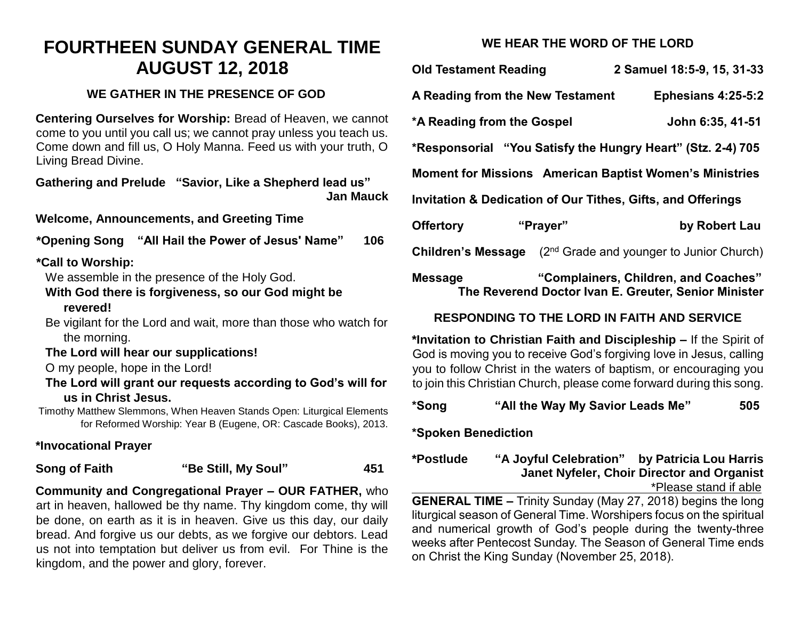# **FOURTHEEN SUNDAY GENERAL TIME AUGUST 12, 2018**

# **WE GATHER IN THE PRESENCE OF GOD**

**Centering Ourselves for Worship:** Bread of Heaven, we cannot come to you until you call us; we cannot pray unless you teach us. Come down and fill us, O Holy Manna. Feed us with your truth, O Living Bread Divine.

**Gathering and Prelude "Savior, Like a Shepherd lead us" Jan Mauck**

**Welcome, Announcements, and Greeting Time** 

**\*Opening Song "All Hail the Power of Jesus' Name" 106**

## **\*Call to Worship:**

We assemble in the presence of the Holy God.

## **With God there is forgiveness, so our God might be revered!**

Be vigilant for the Lord and wait, more than those who watch for the morning.

## **The Lord will hear our supplications!**

O my people, hope in the Lord!

**The Lord will grant our requests according to God's will for us in Christ Jesus.**

Timothy Matthew Slemmons, When Heaven Stands Open: Liturgical Elements for Reformed Worship: Year B (Eugene, OR: Cascade Books), 2013.

# **\*Invocational Prayer**

**Song of Faith "Be Still, My Soul" 451**

**Community and Congregational Prayer – OUR FATHER,** who art in heaven, hallowed be thy name. Thy kingdom come, thy will be done, on earth as it is in heaven. Give us this day, our daily bread. And forgive us our debts, as we forgive our debtors. Lead us not into temptation but deliver us from evil. For Thine is the kingdom, and the power and glory, forever.

# **WE HEAR THE WORD OF THE LORD**

| <b>Old Testament Reading</b>                                                                                   |                                            | 2 Samuel 18:5-9, 15, 31-33 |
|----------------------------------------------------------------------------------------------------------------|--------------------------------------------|----------------------------|
| A Reading from the New Testament                                                                               |                                            | <b>Ephesians 4:25-5:2</b>  |
| *A Reading from the Gospel                                                                                     |                                            | John 6:35, 41-51           |
| *Responsorial "You Satisfy the Hungry Heart" (Stz. 2-4) 705                                                    |                                            |                            |
| <b>Moment for Missions American Baptist Women's Ministries</b>                                                 |                                            |                            |
| <b>Invitation &amp; Dedication of Our Tithes, Gifts, and Offerings</b>                                         |                                            |                            |
| <b>Offertory</b>                                                                                               | "Prayer"                                   | by Robert Lau              |
| <b>Children's Message</b>                                                                                      | $(2nd$ Grade and younger to Junior Church) |                            |
| "Complainers, Children, and Coaches"<br><b>Message</b><br>The Reverend Doctor Ivan E. Greuter, Senior Minister |                                            |                            |

## **RESPONDING TO THE LORD IN FAITH AND SERVICE**

**\*Invitation to Christian Faith and Discipleship –** If the Spirit of God is moving you to receive God's forgiving love in Jesus, calling you to follow Christ in the waters of baptism, or encouraging you to join this Christian Church, please come forward during this song.

# **\*Song "All the Way My Savior Leads Me" 505**

## **\*Spoken Benediction**

**\*Postlude "A Joyful Celebration" by Patricia Lou Harris Janet Nyfeler, Choir Director and Organist** \*Please stand if able

**GENERAL TIME –** Trinity Sunday (May 27, 2018) begins the long liturgical season of General Time. Worshipers focus on the spiritual and numerical growth of God's people during the twenty-three weeks after Pentecost Sunday. The Season of General Time ends on Christ the King Sunday (November 25, 2018).